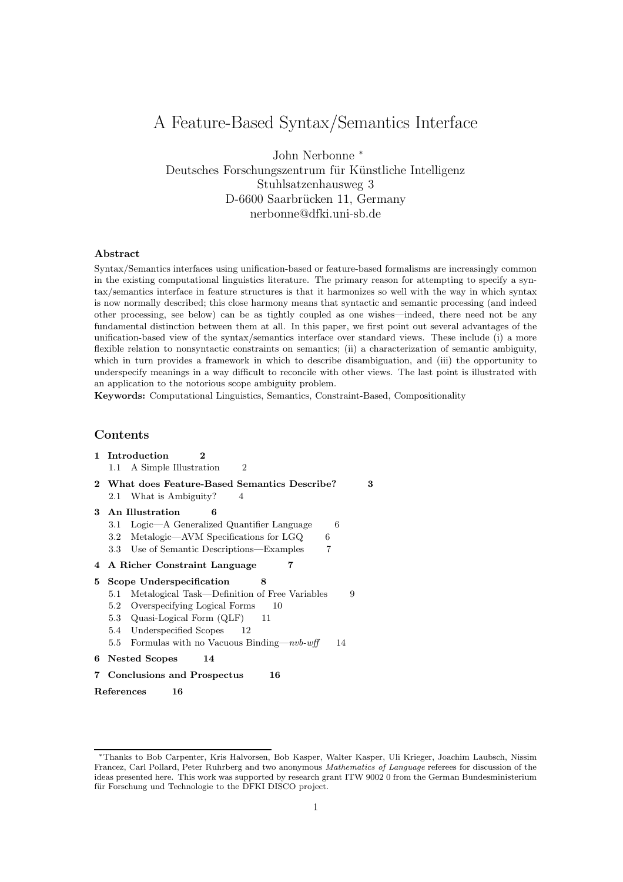# A Feature-Based Syntax/Semantics Interface

John Nerbonne <sup>∗</sup> Deutsches Forschungszentrum für Künstliche Intelligenz Stuhlsatzenhausweg 3 D-6600 Saarbrücken 11, Germany nerbonne@dfki.uni-sb.de

## Abstract

Syntax/Semantics interfaces using unification-based or feature-based formalisms are increasingly common in the existing computational linguistics literature. The primary reason for attempting to specify a syntax/semantics interface in feature structures is that it harmonizes so well with the way in which syntax is now normally described; this close harmony means that syntactic and semantic processing (and indeed other processing, see below) can be as tightly coupled as one wishes—indeed, there need not be any fundamental distinction between them at all. In this paper, we first point out several advantages of the unification-based view of the syntax/semantics interface over standard views. These include (i) a more flexible relation to nonsyntactic constraints on semantics; (ii) a characterization of semantic ambiguity, which in turn provides a framework in which to describe disambiguation, and (iii) the opportunity to underspecify meanings in a way difficult to reconcile with other views. The last point is illustrated with an application to the notorious scope ambiguity problem.

Keywords: Computational Linguistics, Semantics, Constraint-Based, Compositionality

# Contents

1 Introduction 2 1.1 A Simple Illustration 2 2 What does Feature-Based Semantics Describe? 3 2.1 What is Ambiguity? 4 3 An Illustration 6 3.1 Logic—A Generalized Quantifier Language 6 3.2 Metalogic—AVM Specifications for LGQ 6 3.3 Use of Semantic Descriptions—Examples 7 4 A Richer Constraint Language 7 5 Scope Underspecification 8 5.1 Metalogical Task—Definition of Free Variables 9 5.2 Overspecifying Logical Forms 10 5.3 Quasi-Logical Form (QLF) 11 5.4 Underspecified Scopes 12 5.5 Formulas with no Vacuous Binding—nvb-wff 14 6 Nested Scopes 14 7 Conclusions and Prospectus 16 References 16

<sup>∗</sup>Thanks to Bob Carpenter, Kris Halvorsen, Bob Kasper, Walter Kasper, Uli Krieger, Joachim Laubsch, Nissim Francez, Carl Pollard, Peter Ruhrberg and two anonymous Mathematics of Language referees for discussion of the ideas presented here. This work was supported by research grant ITW 9002 0 from the German Bundesministerium für Forschung und Technologie to the DFKI DISCO project.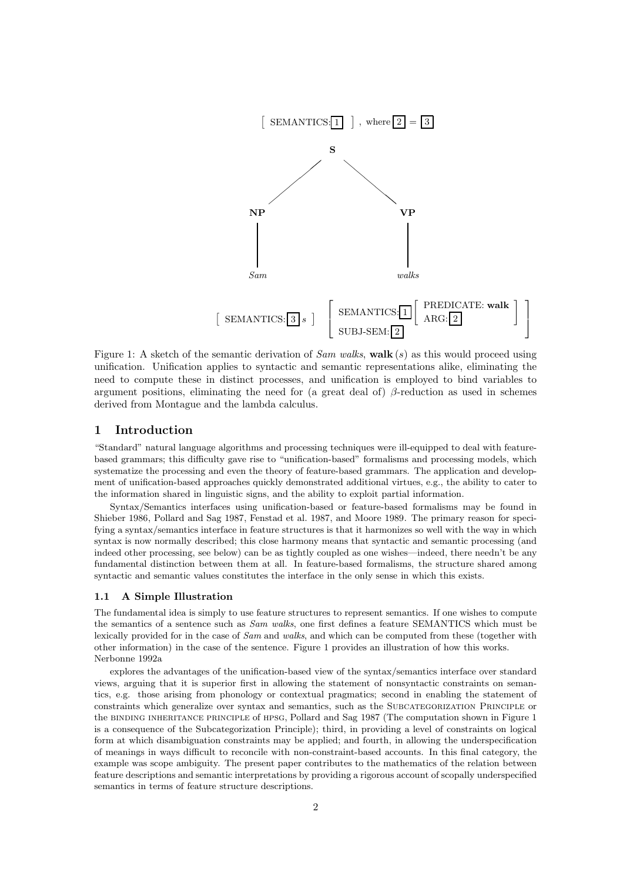

Figure 1: A sketch of the semantic derivation of Sam walks, walk  $(s)$  as this would proceed using unification. Unification applies to syntactic and semantic representations alike, eliminating the need to compute these in distinct processes, and unification is employed to bind variables to argument positions, eliminating the need for (a great deal of)  $\beta$ -reduction as used in schemes derived from Montague and the lambda calculus.

# 1 Introduction

"Standard" natural language algorithms and processing techniques were ill-equipped to deal with featurebased grammars; this difficulty gave rise to "unification-based" formalisms and processing models, which systematize the processing and even the theory of feature-based grammars. The application and development of unification-based approaches quickly demonstrated additional virtues, e.g., the ability to cater to the information shared in linguistic signs, and the ability to exploit partial information.

Syntax/Semantics interfaces using unification-based or feature-based formalisms may be found in Shieber 1986, Pollard and Sag 1987, Fenstad et al. 1987, and Moore 1989. The primary reason for specifying a syntax/semantics interface in feature structures is that it harmonizes so well with the way in which syntax is now normally described; this close harmony means that syntactic and semantic processing (and indeed other processing, see below) can be as tightly coupled as one wishes—indeed, there needn't be any fundamental distinction between them at all. In feature-based formalisms, the structure shared among syntactic and semantic values constitutes the interface in the only sense in which this exists.

## 1.1 A Simple Illustration

The fundamental idea is simply to use feature structures to represent semantics. If one wishes to compute the semantics of a sentence such as Sam walks, one first defines a feature SEMANTICS which must be lexically provided for in the case of Sam and walks, and which can be computed from these (together with other information) in the case of the sentence. Figure 1 provides an illustration of how this works. Nerbonne 1992a

explores the advantages of the unification-based view of the syntax/semantics interface over standard views, arguing that it is superior first in allowing the statement of nonsyntactic constraints on semantics, e.g. those arising from phonology or contextual pragmatics; second in enabling the statement of constraints which generalize over syntax and semantics, such as the Subcategorization Principle or the binding inheritance principle of hpsg, Pollard and Sag 1987 (The computation shown in Figure 1 is a consequence of the Subcategorization Principle); third, in providing a level of constraints on logical form at which disambiguation constraints may be applied; and fourth, in allowing the underspecification of meanings in ways difficult to reconcile with non-constraint-based accounts. In this final category, the example was scope ambiguity. The present paper contributes to the mathematics of the relation between feature descriptions and semantic interpretations by providing a rigorous account of scopally underspecified semantics in terms of feature structure descriptions.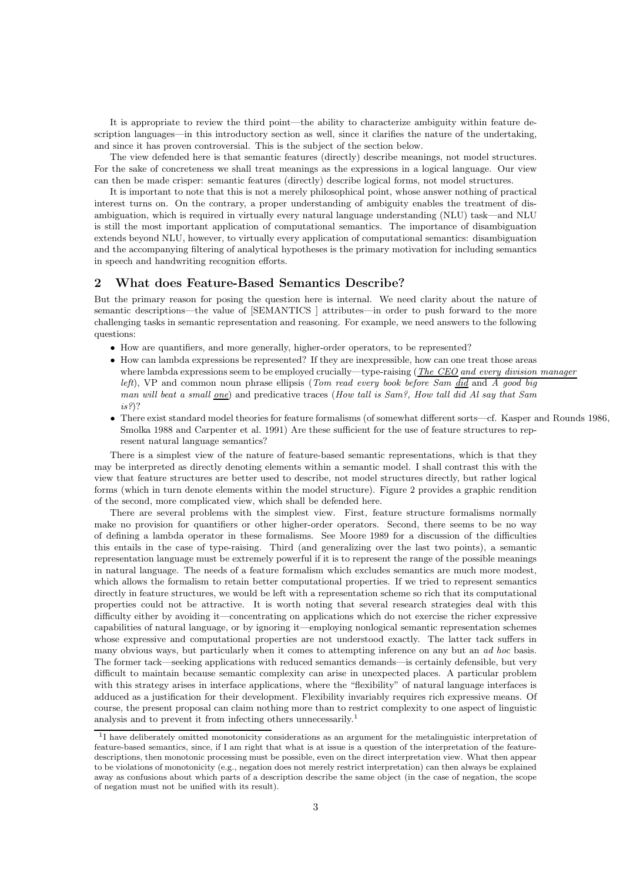It is appropriate to review the third point—the ability to characterize ambiguity within feature description languages—in this introductory section as well, since it clarifies the nature of the undertaking, and since it has proven controversial. This is the subject of the section below.

The view defended here is that semantic features (directly) describe meanings, not model structures. For the sake of concreteness we shall treat meanings as the expressions in a logical language. Our view can then be made crisper: semantic features (directly) describe logical forms, not model structures.

It is important to note that this is not a merely philosophical point, whose answer nothing of practical interest turns on. On the contrary, a proper understanding of ambiguity enables the treatment of disambiguation, which is required in virtually every natural language understanding (NLU) task—and NLU is still the most important application of computational semantics. The importance of disambiguation extends beyond NLU, however, to virtually every application of computational semantics: disambiguation and the accompanying filtering of analytical hypotheses is the primary motivation for including semantics in speech and handwriting recognition efforts.

# 2 What does Feature-Based Semantics Describe?

But the primary reason for posing the question here is internal. We need clarity about the nature of semantic descriptions—the value of [SEMANTICS ] attributes—in order to push forward to the more challenging tasks in semantic representation and reasoning. For example, we need answers to the following questions:

- How are quantifiers, and more generally, higher-order operators, to be represented?
- How can lambda expressions be represented? If they are inexpressible, how can one treat those areas where lambda expressions seem to be employed crucially—type-raising (*The CEO and every division manager*  $left$ , VP and common noun phrase ellipsis (*Tom read every book before Sam did and A good big* man will beat a small one) and predicative traces (How tall is Sam?, How tall did Al say that Sam  $is$ ?)?
- There exist standard model theories for feature formalisms (of somewhat different sorts—cf. Kasper and Rounds 1986, Smolka 1988 and Carpenter et al. 1991) Are these sufficient for the use of feature structures to represent natural language semantics?

There is a simplest view of the nature of feature-based semantic representations, which is that they may be interpreted as directly denoting elements within a semantic model. I shall contrast this with the view that feature structures are better used to describe, not model structures directly, but rather logical forms (which in turn denote elements within the model structure). Figure 2 provides a graphic rendition of the second, more complicated view, which shall be defended here.

There are several problems with the simplest view. First, feature structure formalisms normally make no provision for quantifiers or other higher-order operators. Second, there seems to be no way of defining a lambda operator in these formalisms. See Moore 1989 for a discussion of the difficulties this entails in the case of type-raising. Third (and generalizing over the last two points), a semantic representation language must be extremely powerful if it is to represent the range of the possible meanings in natural language. The needs of a feature formalism which excludes semantics are much more modest, which allows the formalism to retain better computational properties. If we tried to represent semantics directly in feature structures, we would be left with a representation scheme so rich that its computational properties could not be attractive. It is worth noting that several research strategies deal with this difficulty either by avoiding it—concentrating on applications which do not exercise the richer expressive capabilities of natural language, or by ignoring it—employing nonlogical semantic representation schemes whose expressive and computational properties are not understood exactly. The latter tack suffers in many obvious ways, but particularly when it comes to attempting inference on any but an ad hoc basis. The former tack—seeking applications with reduced semantics demands—is certainly defensible, but very difficult to maintain because semantic complexity can arise in unexpected places. A particular problem with this strategy arises in interface applications, where the "flexibility" of natural language interfaces is adduced as a justification for their development. Flexibility invariably requires rich expressive means. Of course, the present proposal can claim nothing more than to restrict complexity to one aspect of linguistic analysis and to prevent it from infecting others unnecessarily.<sup>1</sup>

<sup>&</sup>lt;sup>1</sup>I have deliberately omitted monotonicity considerations as an argument for the metalinguistic interpretation of feature-based semantics, since, if I am right that what is at issue is a question of the interpretation of the featuredescriptions, then monotonic processing must be possible, even on the direct interpretation view. What then appear to be violations of monotonicity (e.g., negation does not merely restrict interpretation) can then always be explained away as confusions about which parts of a description describe the same object (in the case of negation, the scope of negation must not be unified with its result).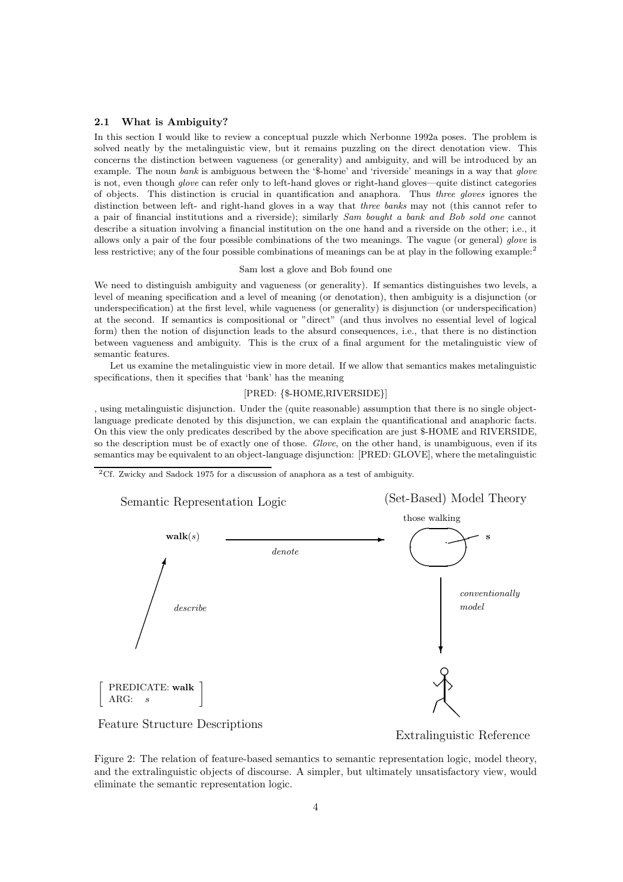## 2.1 What is Ambiguity?

In this section I would like to review a conceptual puzzle which Nerbonne 1992a poses. The problem is solved neatly by the metalinguistic view, but it remains puzzling on the direct denotation view. This concerns the distinction between vagueness (or generality) and ambiguity, and will be introduced by an example. The noun bank is ambiguous between the '\$-home' and 'riverside' meanings in a way that glove is not, even though glove can refer only to left-hand gloves or right-hand gloves—quite distinct categories of objects. This distinction is crucial in quantification and anaphora. Thus three gloves ignores the distinction between left- and right-hand gloves in a way that three banks may not (this cannot refer to a pair of financial institutions and a riverside); similarly Sam bought a bank and Bob sold one cannot describe a situation involving a financial institution on the one hand and a riverside on the other; i.e., it allows only a pair of the four possible combinations of the two meanings. The vague (or general) glove is less restrictive; any of the four possible combinations of meanings can be at play in the following example:<sup>2</sup>

#### Sam lost a glove and Bob found one

We need to distinguish ambiguity and vagueness (or generality). If semantics distinguishes two levels, a level of meaning specification and a level of meaning (or denotation), then ambiguity is a disjunction (or underspecification) at the first level, while vagueness (or generality) is disjunction (or underspecification) at the second. If semantics is compositional or "direct" (and thus involves no essential level of logical form) then the notion of disjunction leads to the absurd consequences, i.e., that there is no distinction between vagueness and ambiguity. This is the crux of a final argument for the metalinguistic view of semantic features.

Let us examine the metalinguistic view in more detail. If we allow that semantics makes metalinguistic specifications, then it specifies that 'bank' has the meaning

## [PRED: {\$-HOME,RIVERSIDE}]

, using metalinguistic disjunction. Under the (quite reasonable) assumption that there is no single objectlanguage predicate denoted by this disjunction, we can explain the quantificational and anaphoric facts. On this view the only predicates described by the above specification are just \$-HOME and RIVERSIDE, so the description must be of exactly one of those. Glove, on the other hand, is unambiguous, even if its semantics may be equivalent to an object-language disjunction: [PRED: GLOVE], where the metalinguistic

<sup>2</sup>Cf. Zwicky and Sadock 1975 for a discussion of anaphora as a test of ambiguity.



Figure 2: The relation of feature-based semantics to semantic representation logic, model theory, and the extralinguistic objects of discourse. A simpler, but ultimately unsatisfactory view, would eliminate the semantic representation logic.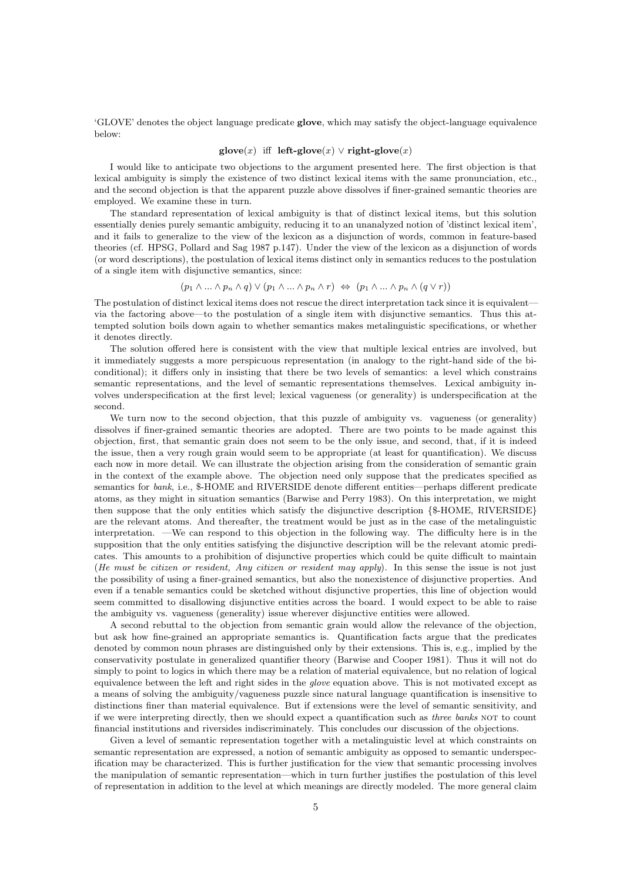'GLOVE' denotes the object language predicate glove, which may satisfy the object-language equivalence below:

#### glove $(x)$  iff left-glove $(x) \vee$  right-glove $(x)$

I would like to anticipate two objections to the argument presented here. The first objection is that lexical ambiguity is simply the existence of two distinct lexical items with the same pronunciation, etc., and the second objection is that the apparent puzzle above dissolves if finer-grained semantic theories are employed. We examine these in turn.

The standard representation of lexical ambiguity is that of distinct lexical items, but this solution essentially denies purely semantic ambiguity, reducing it to an unanalyzed notion of 'distinct lexical item', and it fails to generalize to the view of the lexicon as a disjunction of words, common in feature-based theories (cf. HPSG, Pollard and Sag 1987 p.147). Under the view of the lexicon as a disjunction of words (or word descriptions), the postulation of lexical items distinct only in semantics reduces to the postulation of a single item with disjunctive semantics, since:

$$
(p_1 \wedge \ldots \wedge p_n \wedge q) \vee (p_1 \wedge \ldots \wedge p_n \wedge r) \Leftrightarrow (p_1 \wedge \ldots \wedge p_n \wedge (q \vee r))
$$

The postulation of distinct lexical items does not rescue the direct interpretation tack since it is equivalent via the factoring above—to the postulation of a single item with disjunctive semantics. Thus this attempted solution boils down again to whether semantics makes metalinguistic specifications, or whether it denotes directly.

The solution offered here is consistent with the view that multiple lexical entries are involved, but it immediately suggests a more perspicuous representation (in analogy to the right-hand side of the biconditional); it differs only in insisting that there be two levels of semantics: a level which constrains semantic representations, and the level of semantic representations themselves. Lexical ambiguity involves underspecification at the first level; lexical vagueness (or generality) is underspecification at the second.

We turn now to the second objection, that this puzzle of ambiguity vs. vagueness (or generality) dissolves if finer-grained semantic theories are adopted. There are two points to be made against this objection, first, that semantic grain does not seem to be the only issue, and second, that, if it is indeed the issue, then a very rough grain would seem to be appropriate (at least for quantification). We discuss each now in more detail. We can illustrate the objection arising from the consideration of semantic grain in the context of the example above. The objection need only suppose that the predicates specified as semantics for bank, i.e., \$-HOME and RIVERSIDE denote different entities—perhaps different predicate atoms, as they might in situation semantics (Barwise and Perry 1983). On this interpretation, we might then suppose that the only entities which satisfy the disjunctive description {\$-HOME, RIVERSIDE} are the relevant atoms. And thereafter, the treatment would be just as in the case of the metalinguistic interpretation. —We can respond to this objection in the following way. The difficulty here is in the supposition that the only entities satisfying the disjunctive description will be the relevant atomic predicates. This amounts to a prohibition of disjunctive properties which could be quite difficult to maintain (He must be citizen or resident, Any citizen or resident may apply). In this sense the issue is not just the possibility of using a finer-grained semantics, but also the nonexistence of disjunctive properties. And even if a tenable semantics could be sketched without disjunctive properties, this line of objection would seem committed to disallowing disjunctive entities across the board. I would expect to be able to raise the ambiguity vs. vagueness (generality) issue wherever disjunctive entities were allowed.

A second rebuttal to the objection from semantic grain would allow the relevance of the objection, but ask how fine-grained an appropriate semantics is. Quantification facts argue that the predicates denoted by common noun phrases are distinguished only by their extensions. This is, e.g., implied by the conservativity postulate in generalized quantifier theory (Barwise and Cooper 1981). Thus it will not do simply to point to logics in which there may be a relation of material equivalence, but no relation of logical equivalence between the left and right sides in the glove equation above. This is not motivated except as a means of solving the ambiguity/vagueness puzzle since natural language quantification is insensitive to distinctions finer than material equivalence. But if extensions were the level of semantic sensitivity, and if we were interpreting directly, then we should expect a quantification such as three banks NOT to count financial institutions and riversides indiscriminately. This concludes our discussion of the objections.

Given a level of semantic representation together with a metalinguistic level at which constraints on semantic representation are expressed, a notion of semantic ambiguity as opposed to semantic underspecification may be characterized. This is further justification for the view that semantic processing involves the manipulation of semantic representation—which in turn further justifies the postulation of this level of representation in addition to the level at which meanings are directly modeled. The more general claim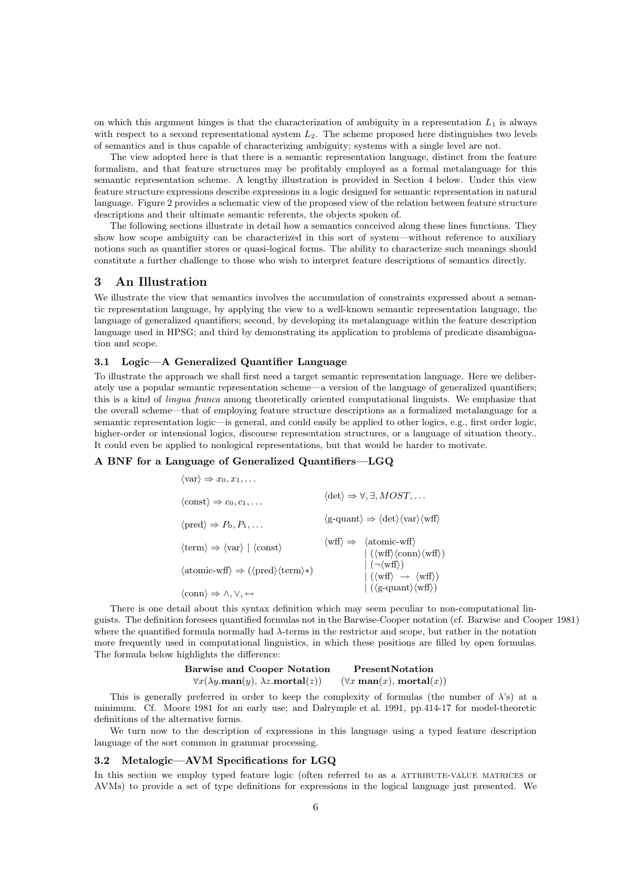on which this argument hinges is that the characterization of ambiguity in a representation  $L_1$  is always with respect to a second representational system  $L_2$ . The scheme proposed here distinguishes two levels of semantics and is thus capable of characterizing ambiguity; systems with a single level are not.

The view adopted here is that there is a semantic representation language, distinct from the feature formalism, and that feature structures may be profitably employed as a formal metalanguage for this semantic representation scheme. A lengthy illustration is provided in Section 4 below. Under this view feature structure expressions describe expressions in a logic designed for semantic representation in natural language. Figure 2 provides a schematic view of the proposed view of the relation between feature structure descriptions and their ultimate semantic referents, the objects spoken of.

The following sections illustrate in detail how a semantics conceived along these lines functions. They show how scope ambiguity can be characterized in this sort of system—without reference to auxiliary notions such as quantifier stores or quasi-logical forms. The ability to characterize such meanings should constitute a further challenge to those who wish to interpret feature descriptions of semantics directly.

# 3 An Illustration

We illustrate the view that semantics involves the accumulation of constraints expressed about a semantic representation language, by applying the view to a well-known semantic representation language, the language of generalized quantifiers; second, by developing its metalanguage within the feature description language used in HPSG; and third by demonstrating its application to problems of predicate disambiguation and scope.

## 3.1 Logic—A Generalized Quantifier Language

To illustrate the approach we shall first need a target semantic representation language. Here we deliberately use a popular semantic representation scheme—a version of the language of generalized quantifiers; this is a kind of lingua franca among theoretically oriented computational linguists. We emphasize that the overall scheme—that of employing feature structure descriptions as a formalized metalanguage for a semantic representation logic—is general, and could easily be applied to other logics, e.g., first order logic, higher-order or intensional logics, discourse representation structures, or a language of situation theory.. It could even be applied to nonlogical representations, but that would be harder to motivate.

# A BNF for a Language of Generalized Quantifiers—LGQ

| $\langle \text{var} \rangle \Rightarrow x_0, x_1, \dots$                                                  |                                                                                                                                                                     |
|-----------------------------------------------------------------------------------------------------------|---------------------------------------------------------------------------------------------------------------------------------------------------------------------|
| $\langle \text{const} \rangle \Rightarrow c_0, c_1, \dots$                                                | $\langle \det \rangle \Rightarrow \forall, \exists, MOST, \dots$                                                                                                    |
| $\langle \text{pred} \rangle \Rightarrow P_0, P_1, \dots$                                                 | $\langle$ g-quant $\rangle \Rightarrow \langle \det \rangle \langle \mathrm{var} \rangle \langle \mathrm{wff} \rangle$                                              |
| $\langle \text{term} \rangle \Rightarrow \langle \text{var} \rangle \mid \langle \text{const} \rangle$    | $\langle \text{wff} \rangle \Rightarrow \langle \text{atomic-wff} \rangle$<br>$(\langle \text{wff} \rangle \langle \text{conn} \rangle \langle \text{wff} \rangle)$ |
| $\langle \text{atomic-wff} \rangle \Rightarrow (\langle \text{pred} \rangle \langle \text{term} \rangle)$ | $\vert \ (\neg \langle \text{wff} \rangle)$<br>$ \ (\langle \text{wff} \rangle \rightarrow \langle \text{wff} \rangle)$                                             |
| $\langle \text{conn} \rangle \Rightarrow \wedge, \vee, \leftrightarrow$                                   | $(\langle \text{g-quant} \rangle \langle \text{wff} \rangle)$                                                                                                       |

There is one detail about this syntax definition which may seem peculiar to non-computational linguists. The definition foresees quantified formulas not in the Barwise-Cooper notation (cf. Barwise and Cooper 1981) where the quantified formula normally had  $\lambda$ -terms in the restrictor and scope, but rather in the notation more frequently used in computational linguistics, in which these positions are filled by open formulas. The formula below highlights the difference:

| <b>Barwise and Cooper Notation</b>                               | PresentNotation                                     |
|------------------------------------------------------------------|-----------------------------------------------------|
| $\forall x(\lambda y.\text{man}(y), \lambda z.\text{mortal}(z))$ | $(\forall x \, \text{man}(x), \, \text{mortal}(x))$ |

This is generally preferred in order to keep the complexity of formulas (the number of  $\lambda$ 's) at a minimum. Cf. Moore 1981 for an early use; and Dalrymple et al. 1991, pp.414-17 for model-theoretic definitions of the alternative forms.

We turn now to the description of expressions in this language using a typed feature description language of the sort common in grammar processing.

# 3.2 Metalogic—AVM Specifications for LGQ

In this section we employ typed feature logic (often referred to as a ATTRIBUTE-VALUE MATRICES or AVMs) to provide a set of type definitions for expressions in the logical language just presented. We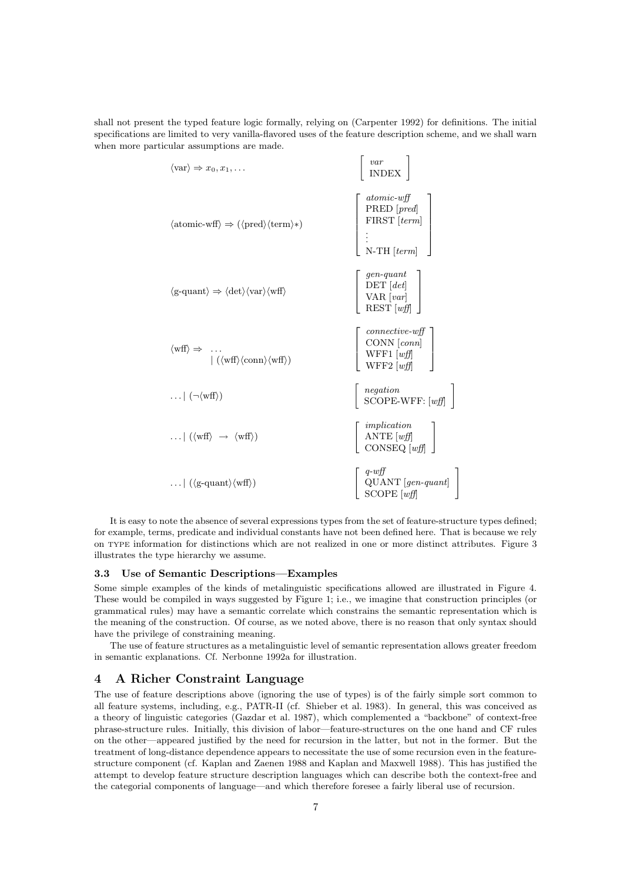shall not present the typed feature logic formally, relying on (Carpenter 1992) for definitions. The initial specifications are limited to very vanilla-flavored uses of the feature description scheme, and we shall warn when more particular assumptions are made.

| $\langle \text{var} \rangle \Rightarrow x_0, x_1, \dots$                                                                                                                                | $\begin{array}{c} var \\ INDEX \end{array}$                                                                                                              |
|-----------------------------------------------------------------------------------------------------------------------------------------------------------------------------------------|----------------------------------------------------------------------------------------------------------------------------------------------------------|
| $\langle \text{atomic-wff} \rangle \Rightarrow (\langle \text{pred} \rangle \langle \text{term} \rangle)$                                                                               | $\begin{bmatrix} atomic\text{-}wff\\ \text{PRED} \text{ } [pred] \\ \text{FIRST} \text{ } [term] \\ \vdots \\ \text{N-TH} \text{ } [term] \end{bmatrix}$ |
| $\langle$ g-quant $\rangle \Rightarrow \langle \det \rangle \langle \mathrm{var} \rangle \langle \mathrm{wff} \rangle$                                                                  | $\left[\begin{array}{c} gen-quant\\ {\rm DET}\; [det]\\ {\rm VAR}\; [var]\\ {\rm REST}\; [w\!f\!f] \end{array}\right]$                                   |
| $\begin{array}{rcl} \langle \mathrm{wff} \rangle \Rightarrow & \dots \\ & &   \ (\langle \mathrm{wff} \rangle \langle \mathrm{conn} \rangle \langle \mathrm{wff} \rangle ) \end{array}$ | $\left[ \begin{array}{c} connective-wff \\ \text{CONN} \ [conn \\ \text{WFF1} \ [wf] \\ \text{WFF2} \ [wf] \end{array} \right]$                          |
| $\ldots$ $\left( \neg \langle \text{wff} \rangle \right)$                                                                                                                               | $\begin{array}{ c c } \hline \textit{negation} \\ \text{SCOPE-WFF: [wff]} \hline \end{array}$                                                            |
| $\ldots$ $\left(\langle \text{wff} \rangle \rightarrow \langle \text{wff} \rangle \right)$                                                                                              | $\begin{bmatrix} implication \\ ANTE [wff] \\ CONSEQ [wff] \end{bmatrix}$                                                                                |
| $\left( \langle \text{g-quant} \rangle \langle \text{wff} \rangle \right)$                                                                                                              | $\left[\begin{array}{c} q\text{-}wjj\\ \text{QUANT} [gen-quant]\\ \text{SCOPE} [wjj] \end{array}\right]$                                                 |

1

1

It is easy to note the absence of several expressions types from the set of feature-structure types defined; for example, terms, predicate and individual constants have not been defined here. That is because we rely on type information for distinctions which are not realized in one or more distinct attributes. Figure 3 illustrates the type hierarchy we assume.

# 3.3 Use of Semantic Descriptions—Examples

Some simple examples of the kinds of metalinguistic specifications allowed are illustrated in Figure 4. These would be compiled in ways suggested by Figure 1; i.e., we imagine that construction principles (or grammatical rules) may have a semantic correlate which constrains the semantic representation which is the meaning of the construction. Of course, as we noted above, there is no reason that only syntax should have the privilege of constraining meaning.

The use of feature structures as a metalinguistic level of semantic representation allows greater freedom in semantic explanations. Cf. Nerbonne 1992a for illustration.

# 4 A Richer Constraint Language

The use of feature descriptions above (ignoring the use of types) is of the fairly simple sort common to all feature systems, including, e.g., PATR-II (cf. Shieber et al. 1983). In general, this was conceived as a theory of linguistic categories (Gazdar et al. 1987), which complemented a "backbone" of context-free phrase-structure rules. Initially, this division of labor—feature-structures on the one hand and CF rules on the other—appeared justified by the need for recursion in the latter, but not in the former. But the treatment of long-distance dependence appears to necessitate the use of some recursion even in the featurestructure component (cf. Kaplan and Zaenen 1988 and Kaplan and Maxwell 1988). This has justified the attempt to develop feature structure description languages which can describe both the context-free and the categorial components of language—and which therefore foresee a fairly liberal use of recursion.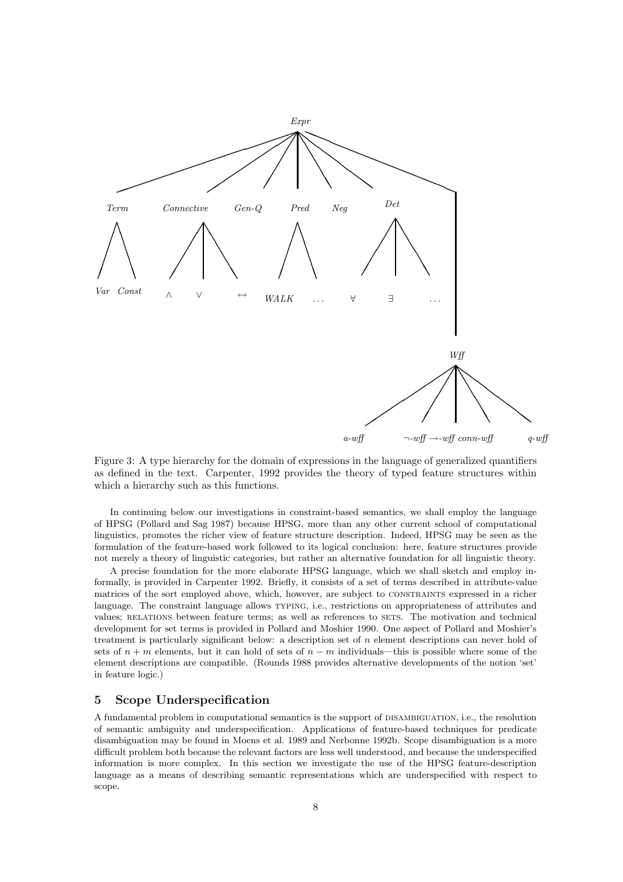

Figure 3: A type hierarchy for the domain of expressions in the language of generalized quantifiers as defined in the text. Carpenter, 1992 provides the theory of typed feature structures within which a hierarchy such as this functions.

In continuing below our investigations in constraint-based semantics, we shall employ the language of HPSG (Pollard and Sag 1987) because HPSG, more than any other current school of computational linguistics, promotes the richer view of feature structure description. Indeed, HPSG may be seen as the formulation of the feature-based work followed to its logical conclusion: here, feature structures provide not merely a theory of linguistic categories, but rather an alternative foundation for all linguistic theory.

A precise foundation for the more elaborate HPSG language, which we shall sketch and employ informally, is provided in Carpenter 1992. Briefly, it consists of a set of terms described in attribute-value matrices of the sort employed above, which, however, are subject to CONSTRAINTS expressed in a richer language. The constraint language allows typing, i.e., restrictions on appropriateness of attributes and values; RELATIONS between feature terms; as well as references to SETS. The motivation and technical development for set terms is provided in Pollard and Moshier 1990. One aspect of Pollard and Moshier's treatment is particularly significant below: a description set of n element descriptions can never hold of sets of  $n + m$  elements, but it can hold of sets of  $n - m$  individuals—this is possible where some of the element descriptions are compatible. (Rounds 1988 provides alternative developments of the notion 'set' in feature logic.)

# 5 Scope Underspecification

A fundamental problem in computational semantics is the support of disambiguation, i.e., the resolution of semantic ambiguity and underspecification. Applications of feature-based techniques for predicate disambiguation may be found in Moens et al. 1989 and Nerbonne 1992b. Scope disambiguation is a more difficult problem both because the relevant factors are less well understood, and because the underspecified information is more complex. In this section we investigate the use of the HPSG feature-description language as a means of describing semantic representations which are underspecified with respect to scope.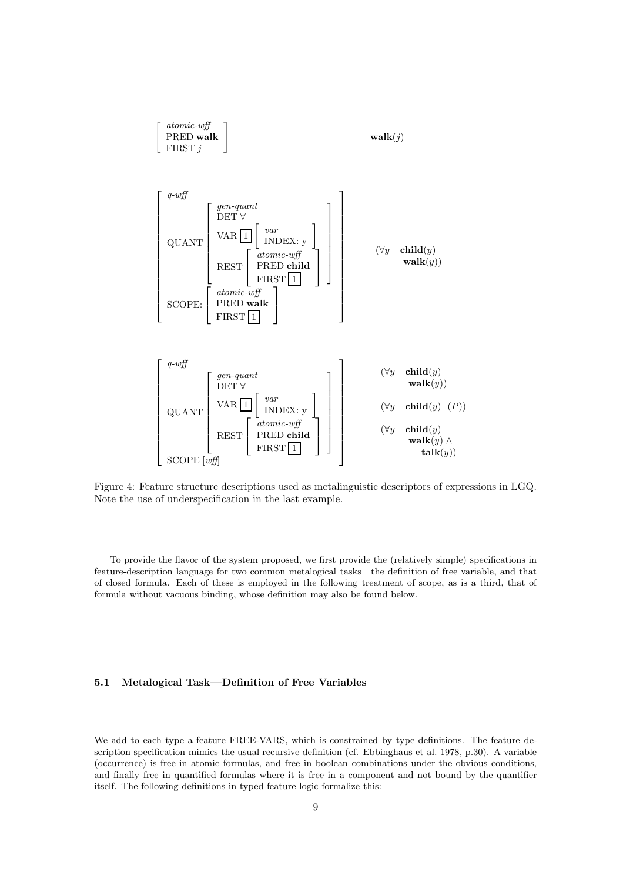

Figure 4: Feature structure descriptions used as metalinguistic descriptors of expressions in LGQ. Note the use of underspecification in the last example.

To provide the flavor of the system proposed, we first provide the (relatively simple) specifications in feature-description language for two common metalogical tasks—the definition of free variable, and that of closed formula. Each of these is employed in the following treatment of scope, as is a third, that of formula without vacuous binding, whose definition may also be found below.

# 5.1 Metalogical Task—Definition of Free Variables

We add to each type a feature FREE-VARS, which is constrained by type definitions. The feature description specification mimics the usual recursive definition (cf. Ebbinghaus et al. 1978, p.30). A variable (occurrence) is free in atomic formulas, and free in boolean combinations under the obvious conditions, and finally free in quantified formulas where it is free in a component and not bound by the quantifier itself. The following definitions in typed feature logic formalize this: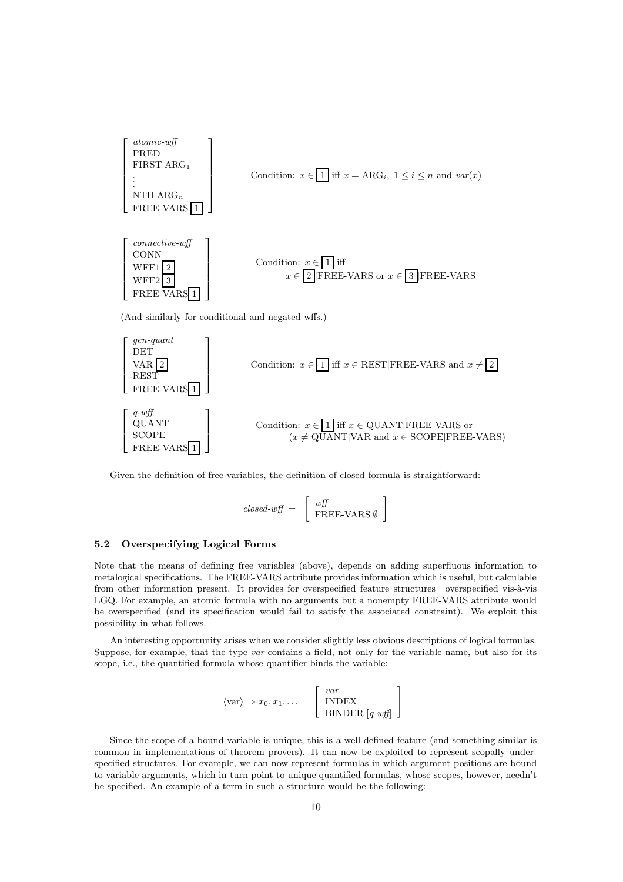

Given the definition of free variables, the definition of closed formula is straightforward:

$$
closed \text{-} wff = \left[ \begin{array}{c} wff \\ \text{FREE-VARS } \emptyset \end{array} \right]
$$

# 5.2 Overspecifying Logical Forms

Note that the means of defining free variables (above), depends on adding superfluous information to metalogical specifications. The FREE-VARS attribute provides information which is useful, but calculable from other information present. It provides for overspecified feature structures—overspecified vis-à-vis LGQ. For example, an atomic formula with no arguments but a nonempty FREE-VARS attribute would be overspecified (and its specification would fail to satisfy the associated constraint). We exploit this possibility in what follows.

An interesting opportunity arises when we consider slightly less obvious descriptions of logical formulas. Suppose, for example, that the type var contains a field, not only for the variable name, but also for its scope, i.e., the quantified formula whose quantifier binds the variable:

$$
\langle \text{var} \rangle \Rightarrow x_0, x_1, \dots \quad \begin{bmatrix} var \\ \text{INDEX} \\ \text{BINDER} [q \text{-} w \text{f} \text{f} ] \end{bmatrix}
$$

Since the scope of a bound variable is unique, this is a well-defined feature (and something similar is common in implementations of theorem provers). It can now be exploited to represent scopally underspecified structures. For example, we can now represent formulas in which argument positions are bound to variable arguments, which in turn point to unique quantified formulas, whose scopes, however, needn't be specified. An example of a term in such a structure would be the following: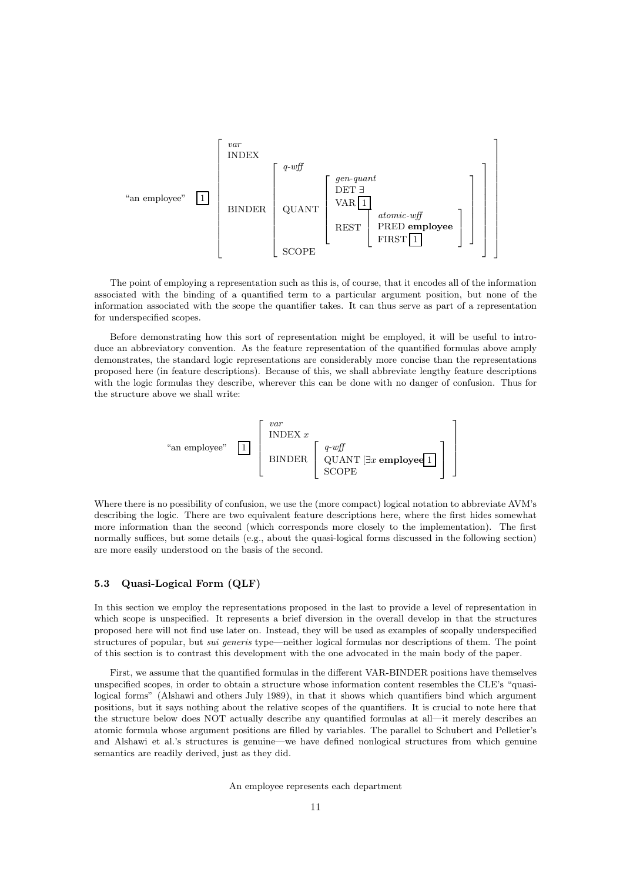

The point of employing a representation such as this is, of course, that it encodes all of the information associated with the binding of a quantified term to a particular argument position, but none of the information associated with the scope the quantifier takes. It can thus serve as part of a representation for underspecified scopes.

Before demonstrating how this sort of representation might be employed, it will be useful to introduce an abbreviatory convention. As the feature representation of the quantified formulas above amply demonstrates, the standard logic representations are considerably more concise than the representations proposed here (in feature descriptions). Because of this, we shall abbreviate lengthy feature descriptions with the logic formulas they describe, wherever this can be done with no danger of confusion. Thus for the structure above we shall write:



Where there is no possibility of confusion, we use the (more compact) logical notation to abbreviate AVM's describing the logic. There are two equivalent feature descriptions here, where the first hides somewhat more information than the second (which corresponds more closely to the implementation). The first normally suffices, but some details (e.g., about the quasi-logical forms discussed in the following section) are more easily understood on the basis of the second.

# 5.3 Quasi-Logical Form (QLF)

In this section we employ the representations proposed in the last to provide a level of representation in which scope is unspecified. It represents a brief diversion in the overall develop in that the structures proposed here will not find use later on. Instead, they will be used as examples of scopally underspecified structures of popular, but sui generis type—neither logical formulas nor descriptions of them. The point of this section is to contrast this development with the one advocated in the main body of the paper.

First, we assume that the quantified formulas in the different VAR-BINDER positions have themselves unspecified scopes, in order to obtain a structure whose information content resembles the CLE's "quasilogical forms" (Alshawi and others July 1989), in that it shows which quantifiers bind which argument positions, but it says nothing about the relative scopes of the quantifiers. It is crucial to note here that the structure below does NOT actually describe any quantified formulas at all—it merely describes an atomic formula whose argument positions are filled by variables. The parallel to Schubert and Pelletier's and Alshawi et al.'s structures is genuine—we have defined nonlogical structures from which genuine semantics are readily derived, just as they did.

An employee represents each department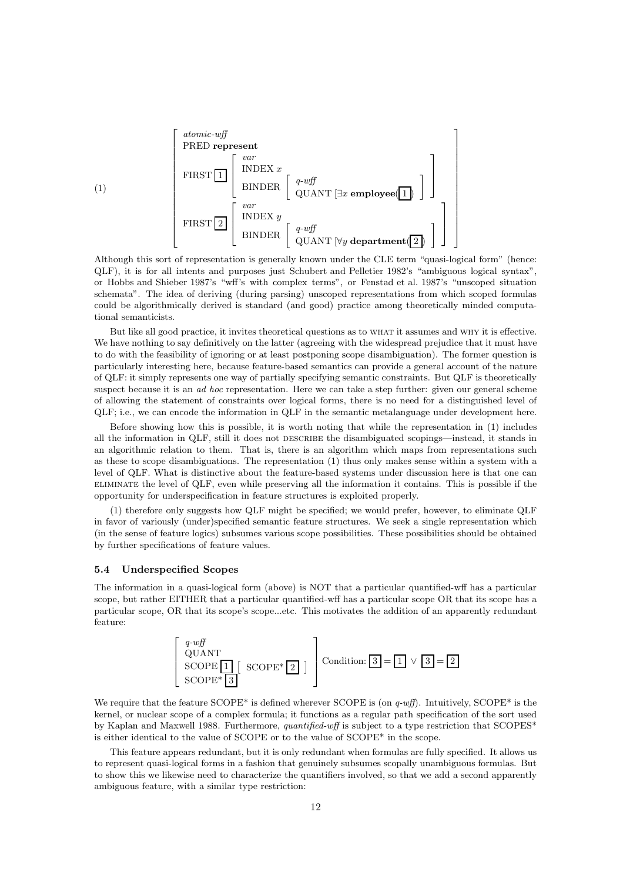

Although this sort of representation is generally known under the CLE term "quasi-logical form" (hence: QLF), it is for all intents and purposes just Schubert and Pelletier 1982's "ambiguous logical syntax", or Hobbs and Shieber 1987's "wff's with complex terms", or Fenstad et al. 1987's "unscoped situation schemata". The idea of deriving (during parsing) unscoped representations from which scoped formulas could be algorithmically derived is standard (and good) practice among theoretically minded computational semanticists.

But like all good practice, it invites theoretical questions as to WHAT it assumes and WHY it is effective. We have nothing to say definitively on the latter (agreeing with the widespread prejudice that it must have to do with the feasibility of ignoring or at least postponing scope disambiguation). The former question is particularly interesting here, because feature-based semantics can provide a general account of the nature of QLF: it simply represents one way of partially specifying semantic constraints. But QLF is theoretically suspect because it is an *ad hoc* representation. Here we can take a step further: given our general scheme of allowing the statement of constraints over logical forms, there is no need for a distinguished level of QLF; i.e., we can encode the information in QLF in the semantic metalanguage under development here.

Before showing how this is possible, it is worth noting that while the representation in (1) includes all the information in QLF, still it does not DESCRIBE the disambiguated scopings—instead, it stands in an algorithmic relation to them. That is, there is an algorithm which maps from representations such as these to scope disambiguations. The representation (1) thus only makes sense within a system with a level of QLF. What is distinctive about the feature-based systems under discussion here is that one can eliminate the level of QLF, even while preserving all the information it contains. This is possible if the opportunity for underspecification in feature structures is exploited properly.

(1) therefore only suggests how QLF might be specified; we would prefer, however, to eliminate QLF in favor of variously (under)specified semantic feature structures. We seek a single representation which (in the sense of feature logics) subsumes various scope possibilities. These possibilities should be obtained by further specifications of feature values.

#### 5.4 Underspecified Scopes

The information in a quasi-logical form (above) is NOT that a particular quantified-wff has a particular scope, but rather EITHER that a particular quantified-wff has a particular scope OR that its scope has a particular scope, OR that its scope's scope...etc. This motivates the addition of an apparently redundant feature:



We require that the feature  $\text{SCOPE}^*$  is defined wherever  $\text{SCOPE}$  is (on  $q\text{-}w\text{fft}$ ). Intuitively,  $\text{SCOPE}^*$  is the kernel, or nuclear scope of a complex formula; it functions as a regular path specification of the sort used by Kaplan and Maxwell 1988. Furthermore, quantified-wff is subject to a type restriction that SCOPES\* is either identical to the value of SCOPE or to the value of SCOPE\* in the scope.

This feature appears redundant, but it is only redundant when formulas are fully specified. It allows us to represent quasi-logical forms in a fashion that genuinely subsumes scopally unambiguous formulas. But to show this we likewise need to characterize the quantifiers involved, so that we add a second apparently ambiguous feature, with a similar type restriction: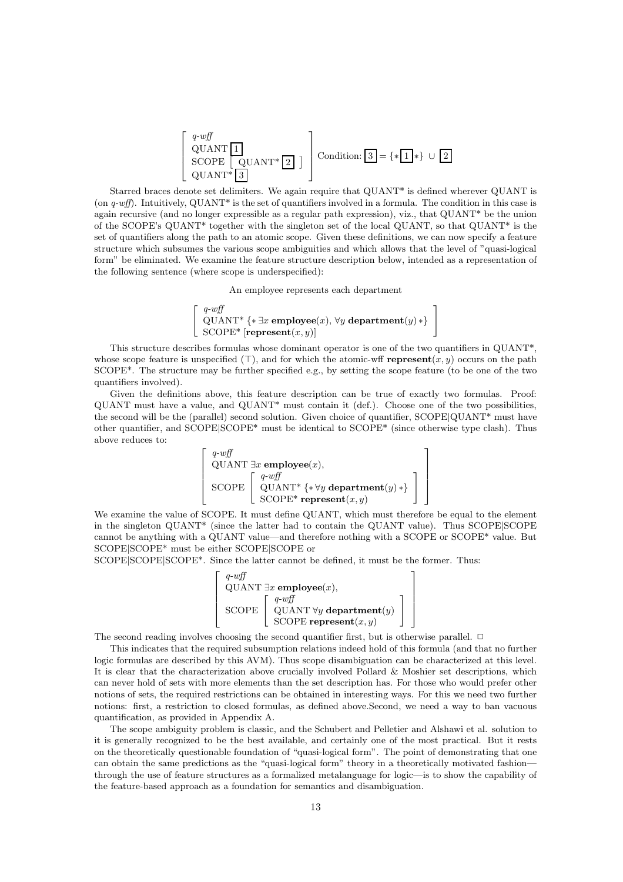$$
\begin{bmatrix}\nq\text{-}wff \\
\text{QUANT}\n\begin{bmatrix}\n1 \\
\text{SCOPE}\n\end{bmatrix} & \text{Condition: } 3 = \{*\boxed{1}*\} \cup \boxed{2} \\
\text{QUANT*}\n\begin{bmatrix}\n3 \\
\end{bmatrix}\n\end{bmatrix}
$$

Starred braces denote set delimiters. We again require that QUANT\* is defined wherever QUANT is (on q-wff). Intuitively, QUANT<sup>\*</sup> is the set of quantifiers involved in a formula. The condition in this case is again recursive (and no longer expressible as a regular path expression), viz., that QUANT\* be the union of the SCOPE's QUANT\* together with the singleton set of the local QUANT, so that QUANT\* is the set of quantifiers along the path to an atomic scope. Given these definitions, we can now specify a feature structure which subsumes the various scope ambiguities and which allows that the level of "quasi-logical form" be eliminated. We examine the feature structure description below, intended as a representation of the following sentence (where scope is underspecified):

An employee represents each department



This structure describes formulas whose dominant operator is one of the two quantifiers in QUANT\*, whose scope feature is unspecified  $(\top)$ , and for which the atomic-wff **represent** $(x, y)$  occurs on the path SCOPE\*. The structure may be further specified e.g., by setting the scope feature (to be one of the two quantifiers involved).

Given the definitions above, this feature description can be true of exactly two formulas. Proof: QUANT must have a value, and QUANT\* must contain it (def.). Choose one of the two possibilities, the second will be the (parallel) second solution. Given choice of quantifier, SCOPE|QUANT\* must have other quantifier, and SCOPE|SCOPE\* must be identical to SCOPE\* (since otherwise type clash). Thus above reduces to:

$$
\begin{bmatrix}\n q\text{-}wff \\
 \text{QUANT } \exists x \text{ employee}(x), \\
 \text{SCOPE } \begin{bmatrix}\n q\text{-}wff \\
 \text{QUANT* } \{*\forall y \text{ department}(y) * \} \\
 \text{SCOPE* represent}(x, y)\n\end{bmatrix}\n\end{bmatrix}
$$

1  $\overline{ }$  $\overline{1}$  $\overline{1}$  $\overline{1}$ 

We examine the value of SCOPE. It must define QUANT, which must therefore be equal to the element in the singleton QUANT\* (since the latter had to contain the QUANT value). Thus SCOPE|SCOPE cannot be anything with a QUANT value—and therefore nothing with a SCOPE or SCOPE\* value. But SCOPE|SCOPE\* must be either SCOPE|SCOPE or

SCOPE|SCOPE|SCOPE\*. Since the latter cannot be defined, it must be the former. Thus:



The second reading involves choosing the second quantifier first, but is otherwise parallel.  $\Box$ 

This indicates that the required subsumption relations indeed hold of this formula (and that no further logic formulas are described by this AVM). Thus scope disambiguation can be characterized at this level. It is clear that the characterization above crucially involved Pollard & Moshier set descriptions, which can never hold of sets with more elements than the set description has. For those who would prefer other notions of sets, the required restrictions can be obtained in interesting ways. For this we need two further notions: first, a restriction to closed formulas, as defined above.Second, we need a way to ban vacuous quantification, as provided in Appendix A.

The scope ambiguity problem is classic, and the Schubert and Pelletier and Alshawi et al. solution to it is generally recognized to be the best available, and certainly one of the most practical. But it rests on the theoretically questionable foundation of "quasi-logical form". The point of demonstrating that one can obtain the same predictions as the "quasi-logical form" theory in a theoretically motivated fashion through the use of feature structures as a formalized metalanguage for logic—is to show the capability of the feature-based approach as a foundation for semantics and disambiguation.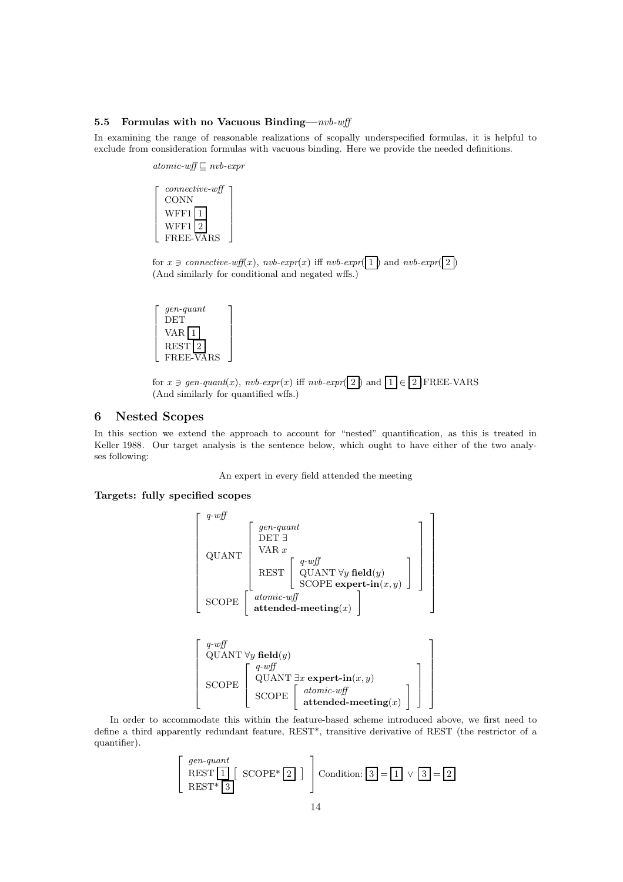## 5.5 Formulas with no Vacuous Binding— $nvb\text{-}wff$

1  $\overline{1}$  $\overline{1}$  $\overline{1}$  $\overline{1}$ 

In examining the range of reasonable realizations of scopally underspecified formulas, it is helpful to exclude from consideration formulas with vacuous binding. Here we provide the needed definitions.

> $atomic\text{-}wff\sqsubseteq nvb\text{-}expr$  $\sqrt{ }$  $\overline{\phantom{a}}$  $\overline{1}$  $\overline{1}$  $\overline{\phantom{a}}$ connective-wff **CONN**  $\ensuremath{\text{WFF1}}\xspace$  1  $WFF1$  2 1  $\overline{1}$  $\overline{1}$  $\overline{1}$  $\overline{1}$

FREE-VARS

for  $x \ni$  connective-wff(x), nvb-expr(x) iff nvb-expr(1) and nvb-expr(2) (And similarly for conditional and negated wffs.)





# 6 Nested Scopes

In this section we extend the approach to account for "nested" quantification, as this is treated in Keller 1988. Our target analysis is the sentence below, which ought to have either of the two analyses following:

An expert in every field attended the meeting

# Targets: fully specified scopes





In order to accommodate this within the feature-based scheme introduced above, we first need to define a third apparently redundant feature, REST\*, transitive derivative of REST (the restrictor of a quantifier).

$$
\begin{bmatrix} gen-quant \\ REST \boxed{1} \\ REST^* \boxed{3} \end{bmatrix} \text{SCOPE*} \boxed{2} \end{bmatrix} \text{Condition: } \boxed{3} = \boxed{1} \lor \boxed{3} = \boxed{2}
$$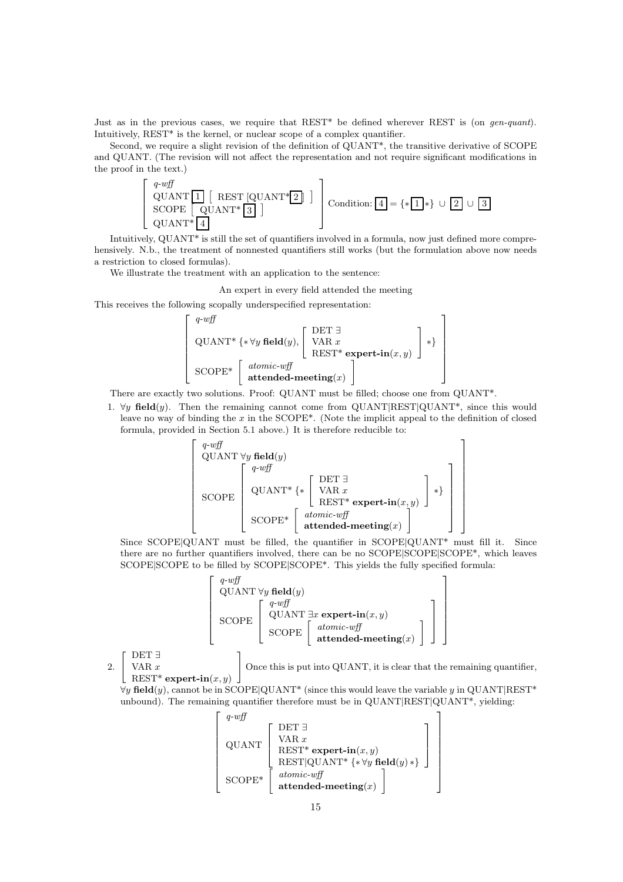Just as in the previous cases, we require that REST\* be defined wherever REST is (on *gen-quant*). Intuitively, REST<sup>\*</sup> is the kernel, or nuclear scope of a complex quantifier.

Second, we require a slight revision of the definition of QUANT\*, the transitive derivative of SCOPE and QUANT. (The revision will not affect the representation and not require significant modifications in the proof in the text.)



Intuitively, QUANT\* is still the set of quantifiers involved in a formula, now just defined more comprehensively. N.b., the treatment of nonnested quantifiers still works (but the formulation above now needs a restriction to closed formulas).

We illustrate the treatment with an application to the sentence:

An expert in every field attended the meeting

This receives the following scopally underspecified representation:

$$
\begin{bmatrix}\nq\text{-}w\text{ff} \\
\text{QUANT*} {\{\ast \forall y \text{ field}(y), \begin{bmatrix} \text{DET } \exists \\
\text{VAR } x \\
\text{REST*} \text{ expert-in}(x, y) \end{bmatrix} * \}} \\
\text{SCOPE*} \begin{bmatrix}\n\text{atomic-wff} \\
\text{attended-meting}(x)\n\end{bmatrix}\n\end{bmatrix}
$$

There are exactly two solutions. Proof: QUANT must be filled; choose one from QUANT\*.

1.  $\forall y$  field(y). Then the remaining cannot come from QUANT|REST|QUANT<sup>\*</sup>, since this would leave no way of binding the  $x$  in the SCOPE<sup>\*</sup>. (Note the implicit appeal to the definition of closed formula, provided in Section 5.1 above.) It is therefore reducible to:



Since SCOPE|QUANT must be filled, the quantifier in SCOPE|QUANT\* must fill it. Since there are no further quantifiers involved, there can be no SCOPE|SCOPE|SCOPE<sup>\*</sup>, which leaves SCOPE|SCOPE to be filled by SCOPE|SCOPE\*. This yields the fully specified formula:



2.  $\left[\begin{array}{c} \text{DET} \\ \text{VAR } x \end{array}\right]$ DET ∃

 $\text{REST*}$  expert-in $(x, y)$ 

1 Once this is put into QUANT, it is clear that the remaining quantifier,

> 1  $\overline{1}$  $\vert$  $\overline{1}$  $\overline{1}$  $\overline{1}$  $\overline{1}$  $\overline{1}$  $\overline{1}$

 $\forall y \text{ field}(y)$ , cannot be in SCOPE|QUANT<sup>\*</sup> (since this would leave the variable y in QUANT|REST<sup>\*</sup> unbound). The remaining quantifier therefore must be in QUANT|REST|QUANT<sup>\*</sup>, yielding:

$$
\begin{bmatrix}\nq\text{-}w\text{ff} \\
\text{QUANT} \\
\text{REST*} \\
\text{REST*} \\
\text{REST}(\text{QUANT*} \{\ast \forall y \text{ field}(y) \ast\}) \\
\text{SCOPE*} \\
\text{attended-meeting}(x)\n\end{bmatrix}
$$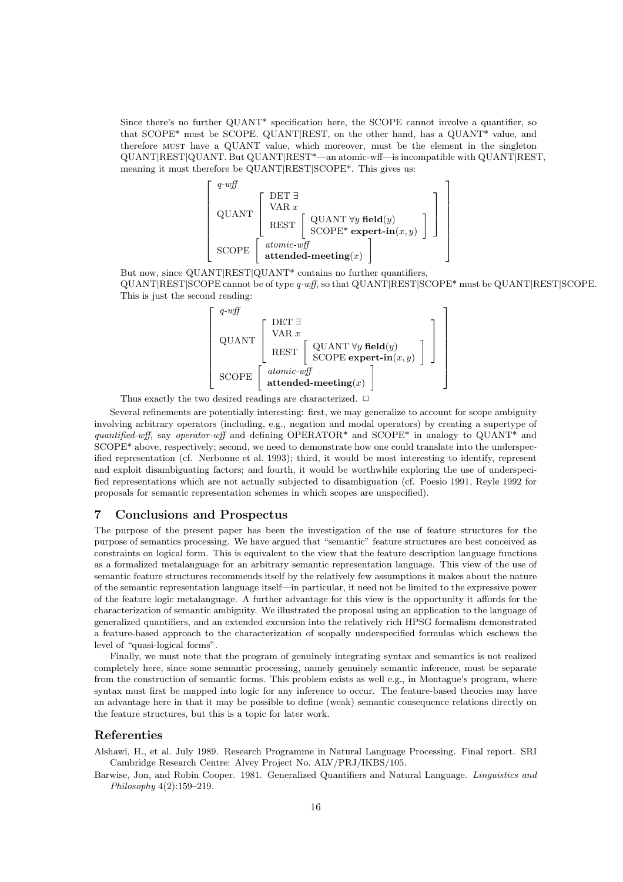Since there's no further QUANT\* specification here, the SCOPE cannot involve a quantifier, so that SCOPE\* must be SCOPE. QUANT|REST, on the other hand, has a QUANT\* value, and therefore must have a QUANT value, which moreover, must be the element in the singleton QUANT|REST|QUANT. But QUANT|REST\*—an atomic-wff—is incompatible with QUANT|REST, meaning it must therefore be QUANT|REST|SCOPE\*. This gives us:



But now, since QUANT|REST|QUANT<sup>\*</sup> contains no further quantifiers, QUANT|REST|SCOPE cannot be of type q-wff, so that QUANT|REST|SCOPE\* must be QUANT|REST|SCOPE. This is just the second reading:



Thus exactly the two desired readings are characterized.

Several refinements are potentially interesting: first, we may generalize to account for scope ambiguity involving arbitrary operators (including, e.g., negation and modal operators) by creating a supertype of quantified-wff, say operator-wff and defining OPERATOR\* and SCOPE\* in analogy to QUANT\* and SCOPE\* above, respectively; second, we need to demonstrate how one could translate into the underspecified representation (cf. Nerbonne et al. 1993); third, it would be most interesting to identify, represent and exploit disambiguating factors; and fourth, it would be worthwhile exploring the use of underspecified representations which are not actually subjected to disambiguation (cf. Poesio 1991, Reyle 1992 for proposals for semantic representation schemes in which scopes are unspecified).

# 7 Conclusions and Prospectus

The purpose of the present paper has been the investigation of the use of feature structures for the purpose of semantics processing. We have argued that "semantic" feature structures are best conceived as constraints on logical form. This is equivalent to the view that the feature description language functions as a formalized metalanguage for an arbitrary semantic representation language. This view of the use of semantic feature structures recommends itself by the relatively few assumptions it makes about the nature of the semantic representation language itself—in particular, it need not be limited to the expressive power of the feature logic metalanguage. A further advantage for this view is the opportunity it affords for the characterization of semantic ambiguity. We illustrated the proposal using an application to the language of generalized quantifiers, and an extended excursion into the relatively rich HPSG formalism demonstrated a feature-based approach to the characterization of scopally underspecified formulas which eschews the level of "quasi-logical forms".

Finally, we must note that the program of genuinely integrating syntax and semantics is not realized completely here, since some semantic processing, namely genuinely semantic inference, must be separate from the construction of semantic forms. This problem exists as well e.g., in Montague's program, where syntax must first be mapped into logic for any inference to occur. The feature-based theories may have an advantage here in that it may be possible to define (weak) semantic consequence relations directly on the feature structures, but this is a topic for later work.

## Referenties

Alshawi, H., et al. July 1989. Research Programme in Natural Language Processing. Final report. SRI Cambridge Research Centre: Alvey Project No. ALV/PRJ/IKBS/105.

Barwise, Jon, and Robin Cooper. 1981. Generalized Quantifiers and Natural Language. Linguistics and Philosophy 4(2):159–219.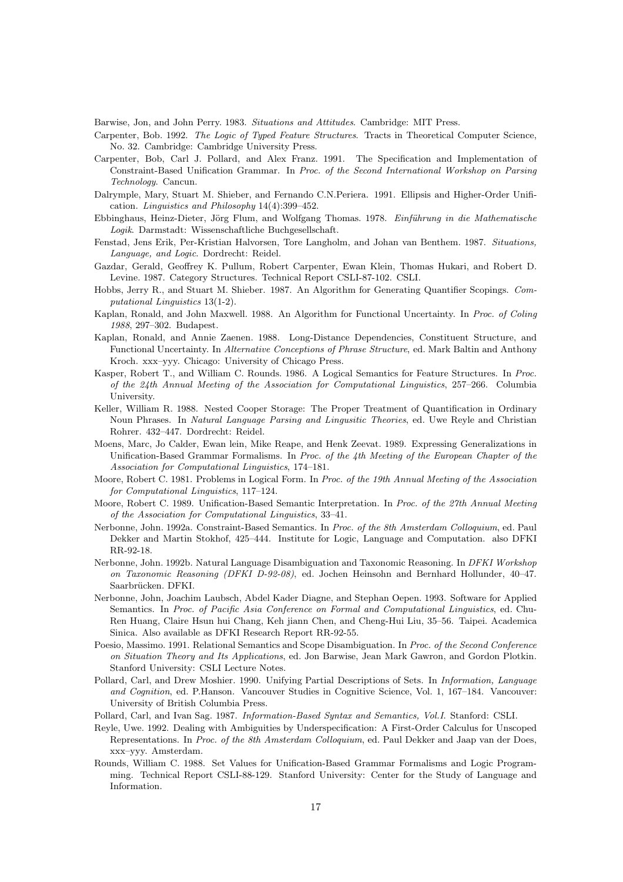Barwise, Jon, and John Perry. 1983. Situations and Attitudes. Cambridge: MIT Press.

- Carpenter, Bob. 1992. The Logic of Typed Feature Structures. Tracts in Theoretical Computer Science, No. 32. Cambridge: Cambridge University Press.
- Carpenter, Bob, Carl J. Pollard, and Alex Franz. 1991. The Specification and Implementation of Constraint-Based Unification Grammar. In Proc. of the Second International Workshop on Parsing Technology. Cancun.
- Dalrymple, Mary, Stuart M. Shieber, and Fernando C.N.Periera. 1991. Ellipsis and Higher-Order Unification. Linguistics and Philosophy 14(4):399–452.
- Ebbinghaus, Heinz-Dieter, Jörg Flum, and Wolfgang Thomas. 1978. Einführung in die Mathematische Logik. Darmstadt: Wissenschaftliche Buchgesellschaft.
- Fenstad, Jens Erik, Per-Kristian Halvorsen, Tore Langholm, and Johan van Benthem. 1987. Situations, Language, and Logic. Dordrecht: Reidel.
- Gazdar, Gerald, Geoffrey K. Pullum, Robert Carpenter, Ewan Klein, Thomas Hukari, and Robert D. Levine. 1987. Category Structures. Technical Report CSLI-87-102. CSLI.
- Hobbs, Jerry R., and Stuart M. Shieber. 1987. An Algorithm for Generating Quantifier Scopings. Computational Linguistics 13(1-2).
- Kaplan, Ronald, and John Maxwell. 1988. An Algorithm for Functional Uncertainty. In Proc. of Coling 1988, 297–302. Budapest.
- Kaplan, Ronald, and Annie Zaenen. 1988. Long-Distance Dependencies, Constituent Structure, and Functional Uncertainty. In Alternative Conceptions of Phrase Structure, ed. Mark Baltin and Anthony Kroch. xxx–yyy. Chicago: University of Chicago Press.
- Kasper, Robert T., and William C. Rounds. 1986. A Logical Semantics for Feature Structures. In Proc. of the 24th Annual Meeting of the Association for Computational Linguistics, 257–266. Columbia University.
- Keller, William R. 1988. Nested Cooper Storage: The Proper Treatment of Quantification in Ordinary Noun Phrases. In Natural Language Parsing and Lingusitic Theories, ed. Uwe Reyle and Christian Rohrer. 432–447. Dordrecht: Reidel.
- Moens, Marc, Jo Calder, Ewan lein, Mike Reape, and Henk Zeevat. 1989. Expressing Generalizations in Unification-Based Grammar Formalisms. In Proc. of the  $\lambda$ th Meeting of the European Chapter of the Association for Computational Linguistics, 174–181.
- Moore, Robert C. 1981. Problems in Logical Form. In Proc. of the 19th Annual Meeting of the Association for Computational Linguistics, 117–124.
- Moore, Robert C. 1989. Unification-Based Semantic Interpretation. In Proc. of the 27th Annual Meeting of the Association for Computational Linguistics, 33–41.
- Nerbonne, John. 1992a. Constraint-Based Semantics. In Proc. of the 8th Amsterdam Colloquium, ed. Paul Dekker and Martin Stokhof, 425–444. Institute for Logic, Language and Computation. also DFKI RR-92-18.
- Nerbonne, John. 1992b. Natural Language Disambiguation and Taxonomic Reasoning. In DFKI Workshop on Taxonomic Reasoning (DFKI D-92-08), ed. Jochen Heinsohn and Bernhard Hollunder, 40–47. Saarbrücken. DFKI.
- Nerbonne, John, Joachim Laubsch, Abdel Kader Diagne, and Stephan Oepen. 1993. Software for Applied Semantics. In Proc. of Pacific Asia Conference on Formal and Computational Linguistics, ed. Chu-Ren Huang, Claire Hsun hui Chang, Keh jiann Chen, and Cheng-Hui Liu, 35–56. Taipei. Academica Sinica. Also available as DFKI Research Report RR-92-55.
- Poesio, Massimo. 1991. Relational Semantics and Scope Disambiguation. In Proc. of the Second Conference on Situation Theory and Its Applications, ed. Jon Barwise, Jean Mark Gawron, and Gordon Plotkin. Stanford University: CSLI Lecture Notes.
- Pollard, Carl, and Drew Moshier. 1990. Unifying Partial Descriptions of Sets. In Information, Language and Cognition, ed. P.Hanson. Vancouver Studies in Cognitive Science, Vol. 1, 167–184. Vancouver: University of British Columbia Press.
- Pollard, Carl, and Ivan Sag. 1987. Information-Based Syntax and Semantics, Vol.I. Stanford: CSLI.
- Reyle, Uwe. 1992. Dealing with Ambiguities by Underspecification: A First-Order Calculus for Unscoped Representations. In Proc. of the 8th Amsterdam Colloquium, ed. Paul Dekker and Jaap van der Does, xxx–yyy. Amsterdam.
- Rounds, William C. 1988. Set Values for Unification-Based Grammar Formalisms and Logic Programming. Technical Report CSLI-88-129. Stanford University: Center for the Study of Language and Information.